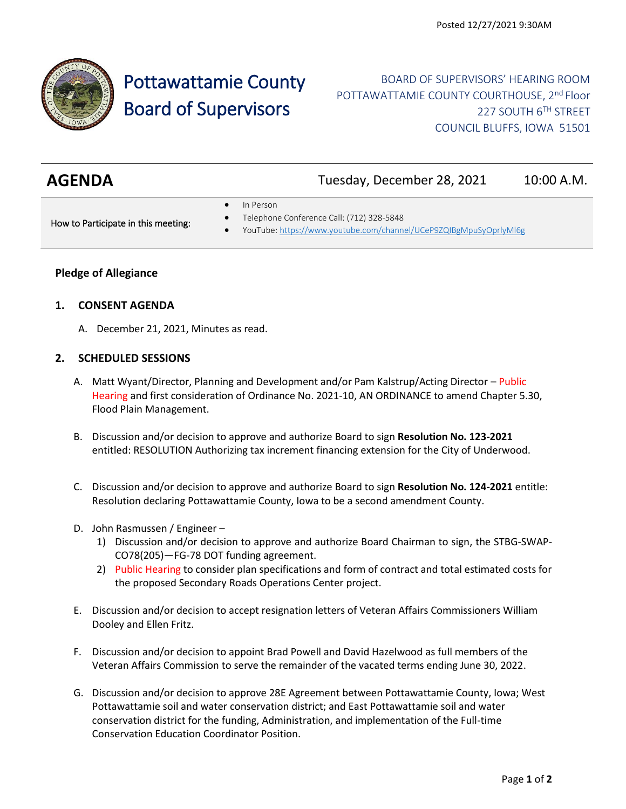

# Pottawattamie County Board of Supervisors

## BOARD OF SUPERVISORS' HEARING ROOM POTTAWATTAMIE COUNTY COURTHOUSE, 2<sup>nd</sup> Floor 227 SOUTH 6TH STREET COUNCIL BLUFFS, IOWA 51501

| <b>AGENDA</b>                       | Tuesday, December 28, 2021                                                                                                  | 10:00 A.M. |
|-------------------------------------|-----------------------------------------------------------------------------------------------------------------------------|------------|
| How to Participate in this meeting: | In Person<br>Telephone Conference Call: (712) 328-5848<br>YouTube: https://www.youtube.com/channel/UCeP9ZQIBgMpuSyOprlyMI6g |            |

### **Pledge of Allegiance**

#### **1. CONSENT AGENDA**

A. December 21, 2021, Minutes as read.

#### **2. SCHEDULED SESSIONS**

- A. Matt Wyant/Director, Planning and Development and/or Pam Kalstrup/Acting Director Public Hearing and first consideration of Ordinance No. 2021-10, AN ORDINANCE to amend Chapter 5.30, Flood Plain Management.
- B. Discussion and/or decision to approve and authorize Board to sign **Resolution No. 123-2021** entitled: RESOLUTION Authorizing tax increment financing extension for the City of Underwood.
- C. Discussion and/or decision to approve and authorize Board to sign **Resolution No. 124-2021** entitle: Resolution declaring Pottawattamie County, Iowa to be a second amendment County.
- D. John Rasmussen / Engineer
	- 1) Discussion and/or decision to approve and authorize Board Chairman to sign, the STBG-SWAP-CO78(205)—FG-78 DOT funding agreement.
	- 2) Public Hearing to consider plan specifications and form of contract and total estimated costs for the proposed Secondary Roads Operations Center project.
- E. Discussion and/or decision to accept resignation letters of Veteran Affairs Commissioners William Dooley and Ellen Fritz.
- F. Discussion and/or decision to appoint Brad Powell and David Hazelwood as full members of the Veteran Affairs Commission to serve the remainder of the vacated terms ending June 30, 2022.
- G. Discussion and/or decision to approve 28E Agreement between Pottawattamie County, Iowa; West Pottawattamie soil and water conservation district; and East Pottawattamie soil and water conservation district for the funding, Administration, and implementation of the Full-time Conservation Education Coordinator Position.